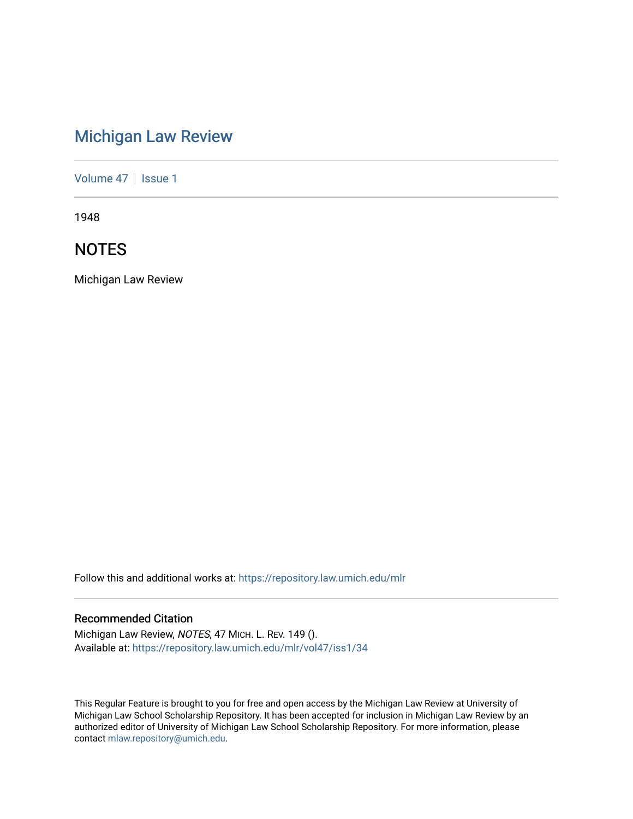# [Michigan Law Review](https://repository.law.umich.edu/mlr)

[Volume 47](https://repository.law.umich.edu/mlr/vol47) | [Issue 1](https://repository.law.umich.edu/mlr/vol47/iss1)

1948

## **NOTES**

Michigan Law Review

Follow this and additional works at: [https://repository.law.umich.edu/mlr](https://repository.law.umich.edu/mlr?utm_source=repository.law.umich.edu%2Fmlr%2Fvol47%2Fiss1%2F34&utm_medium=PDF&utm_campaign=PDFCoverPages) 

## Recommended Citation

Michigan Law Review, NOTES, 47 MICH. L. REV. 149 (). Available at: [https://repository.law.umich.edu/mlr/vol47/iss1/34](https://repository.law.umich.edu/mlr/vol47/iss1/34?utm_source=repository.law.umich.edu%2Fmlr%2Fvol47%2Fiss1%2F34&utm_medium=PDF&utm_campaign=PDFCoverPages) 

This Regular Feature is brought to you for free and open access by the Michigan Law Review at University of Michigan Law School Scholarship Repository. It has been accepted for inclusion in Michigan Law Review by an authorized editor of University of Michigan Law School Scholarship Repository. For more information, please contact [mlaw.repository@umich.edu](mailto:mlaw.repository@umich.edu).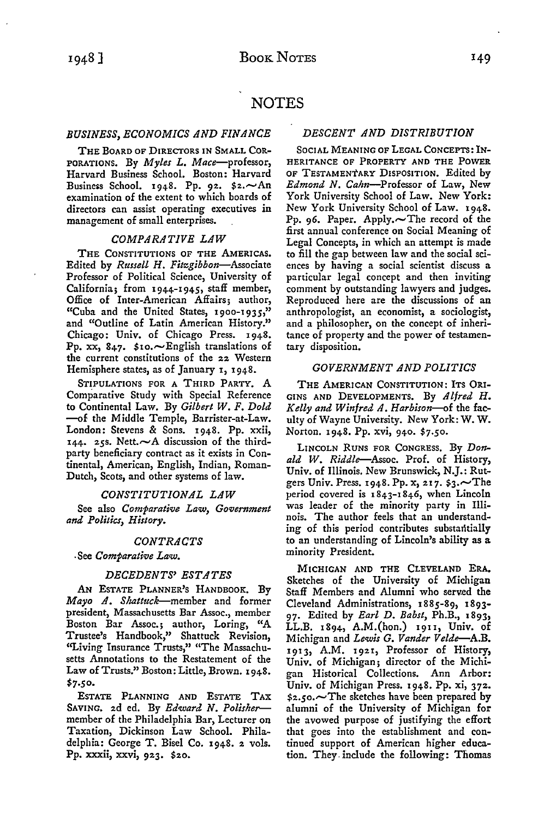## **NOTES**

## *BUSINESS, ECONOMICS AND FINANCE*

THE BOARD OF DIRECTORS IN SMALL COR-PORATIONS. By *Myles L. Mace-professor,*  Harvard Business School. Boston: Harvard Business School. 1948. Pp. 92.  $$2.~\sim$ An examination of the extent to which boards of directors can assist operating executives in management of small enterprises.

#### *COMPARATIVE LAW*

THE CONSTITUTIONS OF THE AMERICAS. Edited by *Russell H. Fitzgibbon-Associate*  Professor of Political Science, University of California; from 1944-1945, staff member, Office of Inter-American Affairs; author, "Cuba and the United States, 1900-1935," and "Outline of Latin American History." Chicago: Univ. of Chicago Press. 1948. Pp. xx, 847.  $\mathfrak{so} \sim$  English translations of the current constitutions of the 22 Western Hemisphere states, as of January **1,** 1948.

STIPULATIONS FOR A THIRD PARTY. **A**  Comparative Study with Special Reference to Continental Law. By *Gilbert W. F. Dold*  -of the Middle Temple, Barrister-at-Law. London: Stevens & Sons. 1948. Pp. xxii, 144. 25s. Nett. $\sim$ A discussion of the thirdparty beneficiary contract as it exists in Continental, American, English, Indian, Roman-Dutch, Scots, and other systems of law.

### *CONSTITUTIONAL LAW*

See also *Comparative Law*, *Government and Politics, History.* 

## *CONTRACTS*

-See *Comparative Law.* 

## *DECEDENTS' ESTATES*

AN ESTATE PLANNER'S HANDBOOK. By *Mayo A. Shattuck-member* and former president, Massachusetts Bar Assoc., member Boston Bar Assoc.; author, Loring, "A Trustee's Handbook," Shattuck Revision, "Living Insurance Trusts," "The Massachusetts Annotations to the Restatement of the Law of Trusts." Boston: Little, Brown. 1948. \$7.5o.

ESTATE PLANNING AND ESTATE TAX SAVING. 2d ed. By *Edward N. Polisher*member of the Philadelphia Bar, Lecturer on Taxation, Dickinson Law School. Philadelphia: George T. Bisel Co. 1948. 2 vols. Pp. xxxii, xxvi, 923. \$20.

## *DESCENT AND DISTRIBUTION*

SOCIAL MEANING OF LEGAL CONCEPTS: IN-HERITANCE OF PROPERTY AND THE POWER OF TESTAMENTARY DISPOSITION. Edited by Edmond N. Cahn-Professor of Law, New York University School of Law. New York: New York University School of Law. 1948. Pp. 96. Paper. Apply. $\sim$ The record of the first annual conference on Social Meaning of Legal Concepts, in which an attempt is made to fill the gap between law and the social sciences by having a social scientist discuss a particular legal concept and then inviting comment by outstanding lawyers and judges. Reproduced here are the discussions of an anthropologist, an economist, a sociologist, and a philosopher, on the concept of inheritance of property and the power of testamentary disposition.

## *GOVERNMENT AND POLITICS*

THE AMERICAN CONSTITUTION: ITS ORI-GINS AND DEVELOPMENTS. By *Alfred H. Kelly and Winfred A. Harbison-of* the faculty of Wayne University. New York: **W.W.**  Norton. 1948. Pp. xvi, 940. \$7.50.

LINCOLN RUNS FOR CONGRESS, By *Donald W. Riddle-Assoc.* Prof. of History, Univ. of Illinois. New Brunswick, N.J.: Rutgers Univ. Press. 1948. Pp. x, 217.  $s_3$ . The period covered is  $1843-1846$ , when Lincoln was leader of the minority party in Illinois. The author feels that an understanding of this period contributes substantially to an understanding of Lincoln's ability as a minority President.

MICHIGAN AND THE CLEVELAND ERA. Sketches of the University of Michigan Staff Members and Alumni who served the Cleveland Administrations, 1885-89, 1893- 97. Edited by *Earl D. Babst,* Ph.B., 1893, LL.B. 1894, A.M.(hon.) 1911, Univ. of Michigan and *Lewis G. Vander Velde-A.B.*  1913, A.M. 1921, Professor of History, Univ. of Michigan; director of the Michigan Historical Collections. Ann Arbor: Univ. of Michigan Press. 1948. Pp. xi, 372.  $$2.50.$  The sketches have been prepared by alumni of the University of Michigan for the avowed purpose of justifying the effort that goes into the establishment and continued support of American higher educa*tion.* They. include the following: Thomas